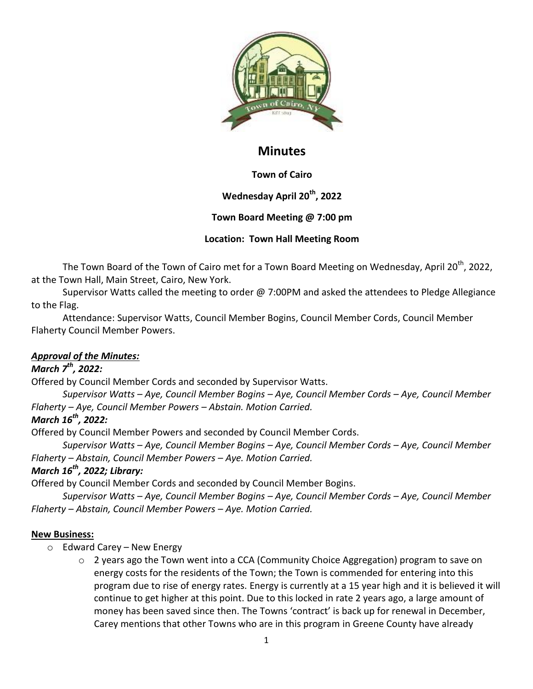

# **Minutes**

# **Town of Cairo**

# **Wednesday April 20th, 2022**

# **Town Board Meeting @ 7:00 pm**

## **Location: Town Hall Meeting Room**

The Town Board of the Town of Cairo met for a Town Board Meeting on Wednesday, April 20<sup>th</sup>, 2022, at the Town Hall, Main Street, Cairo, New York.

Supervisor Watts called the meeting to order  $\omega$  7:00PM and asked the attendees to Pledge Allegiance to the Flag.

Attendance: Supervisor Watts, Council Member Bogins, Council Member Cords, Council Member Flaherty Council Member Powers.

# *Approval of the Minutes:*

# *March 7th, 2022:*

Offered by Council Member Cords and seconded by Supervisor Watts.

*Supervisor Watts – Aye, Council Member Bogins – Aye, Council Member Cords – Aye, Council Member Flaherty – Aye, Council Member Powers – Abstain. Motion Carried.*

## *March 16th, 2022:*

Offered by Council Member Powers and seconded by Council Member Cords.

*Supervisor Watts – Aye, Council Member Bogins – Aye, Council Member Cords – Aye, Council Member Flaherty – Abstain, Council Member Powers – Aye. Motion Carried.*

# *March 16th, 2022; Library:*

Offered by Council Member Cords and seconded by Council Member Bogins.

*Supervisor Watts – Aye, Council Member Bogins – Aye, Council Member Cords – Aye, Council Member Flaherty – Abstain, Council Member Powers – Aye. Motion Carried.*

## **New Business:**

- o Edward Carey New Energy
	- o 2 years ago the Town went into a CCA (Community Choice Aggregation) program to save on energy costs for the residents of the Town; the Town is commended for entering into this program due to rise of energy rates. Energy is currently at a 15 year high and it is believed it will continue to get higher at this point. Due to this locked in rate 2 years ago, a large amount of money has been saved since then. The Towns 'contract' is back up for renewal in December, Carey mentions that other Towns who are in this program in Greene County have already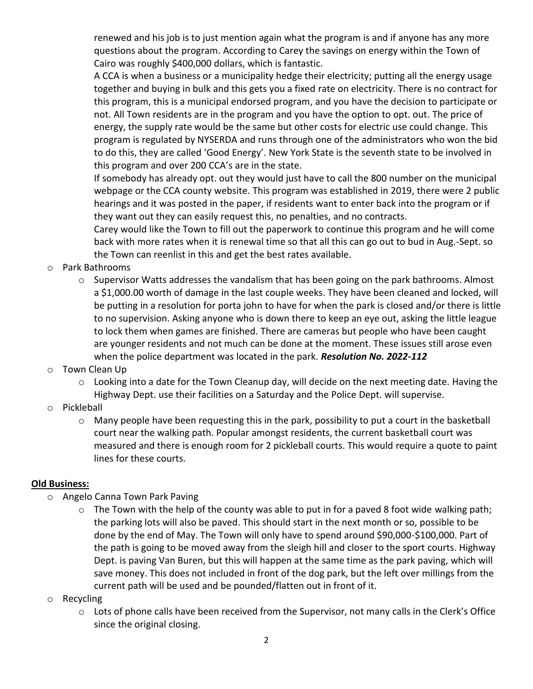renewed and his job is to just mention again what the program is and if anyone has any more questions about the program. According to Carey the savings on energy within the Town of Cairo was roughly \$400,000 dollars, which is fantastic.

A CCA is when a business or a municipality hedge their electricity; putting all the energy usage together and buying in bulk and this gets you a fixed rate on electricity. There is no contract for this program, this is a municipal endorsed program, and you have the decision to participate or not. All Town residents are in the program and you have the option to opt. out. The price of energy, the supply rate would be the same but other costs for electric use could change. This program is regulated by NYSERDA and runs through one of the administrators who won the bid to do this, they are called 'Good Energy'. New York State is the seventh state to be involved in this program and over 200 CCA's are in the state.

If somebody has already opt. out they would just have to call the 800 number on the municipal webpage or the CCA county website. This program was established in 2019, there were 2 public hearings and it was posted in the paper, if residents want to enter back into the program or if they want out they can easily request this, no penalties, and no contracts.

Carey would like the Town to fill out the paperwork to continue this program and he will come back with more rates when it is renewal time so that all this can go out to bud in Aug.-Sept. so the Town can reenlist in this and get the best rates available.

- o Park Bathrooms
	- $\circ$  Supervisor Watts addresses the vandalism that has been going on the park bathrooms. Almost a \$1,000.00 worth of damage in the last couple weeks. They have been cleaned and locked, will be putting in a resolution for porta john to have for when the park is closed and/or there is little to no supervision. Asking anyone who is down there to keep an eye out, asking the little league to lock them when games are finished. There are cameras but people who have been caught are younger residents and not much can be done at the moment. These issues still arose even when the police department was located in the park. *Resolution No. 2022-112*
- o Town Clean Up
	- o Looking into a date for the Town Cleanup day, will decide on the next meeting date. Having the Highway Dept. use their facilities on a Saturday and the Police Dept. will supervise.
- o Pickleball
	- o Many people have been requesting this in the park, possibility to put a court in the basketball court near the walking path. Popular amongst residents, the current basketball court was measured and there is enough room for 2 pickleball courts. This would require a quote to paint lines for these courts.

#### **Old Business:**

- o Angelo Canna Town Park Paving
	- $\circ$  The Town with the help of the county was able to put in for a paved 8 foot wide walking path; the parking lots will also be paved. This should start in the next month or so, possible to be done by the end of May. The Town will only have to spend around \$90,000-\$100,000. Part of the path is going to be moved away from the sleigh hill and closer to the sport courts. Highway Dept. is paving Van Buren, but this will happen at the same time as the park paving, which will save money. This does not included in front of the dog park, but the left over millings from the current path will be used and be pounded/flatten out in front of it.
- o Recycling
	- $\circ$  Lots of phone calls have been received from the Supervisor, not many calls in the Clerk's Office since the original closing.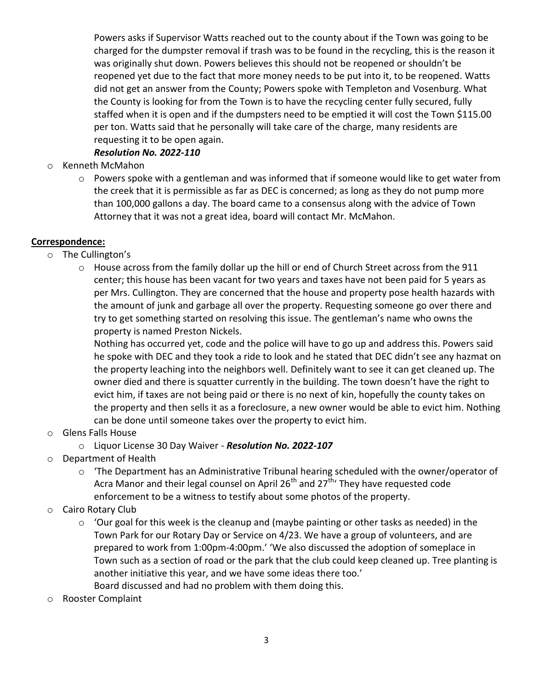Powers asks if Supervisor Watts reached out to the county about if the Town was going to be charged for the dumpster removal if trash was to be found in the recycling, this is the reason it was originally shut down. Powers believes this should not be reopened or shouldn't be reopened yet due to the fact that more money needs to be put into it, to be reopened. Watts did not get an answer from the County; Powers spoke with Templeton and Vosenburg. What the County is looking for from the Town is to have the recycling center fully secured, fully staffed when it is open and if the dumpsters need to be emptied it will cost the Town \$115.00 per ton. Watts said that he personally will take care of the charge, many residents are requesting it to be open again.

## *Resolution No. 2022-110*

- o Kenneth McMahon
	- o Powers spoke with a gentleman and was informed that if someone would like to get water from the creek that it is permissible as far as DEC is concerned; as long as they do not pump more than 100,000 gallons a day. The board came to a consensus along with the advice of Town Attorney that it was not a great idea, board will contact Mr. McMahon.

### **Correspondence:**

- o The Cullington's
	- o House across from the family dollar up the hill or end of Church Street across from the 911 center; this house has been vacant for two years and taxes have not been paid for 5 years as per Mrs. Cullington. They are concerned that the house and property pose health hazards with the amount of junk and garbage all over the property. Requesting someone go over there and try to get something started on resolving this issue. The gentleman's name who owns the property is named Preston Nickels.

Nothing has occurred yet, code and the police will have to go up and address this. Powers said he spoke with DEC and they took a ride to look and he stated that DEC didn't see any hazmat on the property leaching into the neighbors well. Definitely want to see it can get cleaned up. The owner died and there is squatter currently in the building. The town doesn't have the right to evict him, if taxes are not being paid or there is no next of kin, hopefully the county takes on the property and then sells it as a foreclosure, a new owner would be able to evict him. Nothing can be done until someone takes over the property to evict him.

- o Glens Falls House
	- o Liquor License 30 Day Waiver *Resolution No. 2022-107*
- o Department of Health
	- o 'The Department has an Administrative Tribunal hearing scheduled with the owner/operator of Acra Manor and their legal counsel on April 26<sup>th</sup> and 27<sup>th</sup> They have requested code enforcement to be a witness to testify about some photos of the property.
- o Cairo Rotary Club
	- $\circ$  'Our goal for this week is the cleanup and (maybe painting or other tasks as needed) in the Town Park for our Rotary Day or Service on 4/23. We have a group of volunteers, and are prepared to work from 1:00pm-4:00pm.' 'We also discussed the adoption of someplace in Town such as a section of road or the park that the club could keep cleaned up. Tree planting is another initiative this year, and we have some ideas there too.' Board discussed and had no problem with them doing this.
- o Rooster Complaint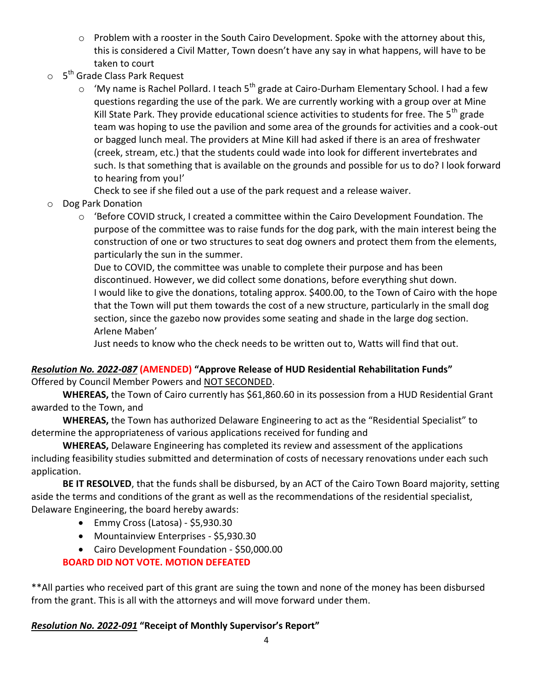- o Problem with a rooster in the South Cairo Development. Spoke with the attorney about this, this is considered a Civil Matter, Town doesn't have any say in what happens, will have to be taken to court
- o 5<sup>th</sup> Grade Class Park Request
	- $\circ$  'My name is Rachel Pollard. I teach 5<sup>th</sup> grade at Cairo-Durham Elementary School. I had a few questions regarding the use of the park. We are currently working with a group over at Mine Kill State Park. They provide educational science activities to students for free. The 5<sup>th</sup> grade team was hoping to use the pavilion and some area of the grounds for activities and a cook-out or bagged lunch meal. The providers at Mine Kill had asked if there is an area of freshwater (creek, stream, etc.) that the students could wade into look for different invertebrates and such. Is that something that is available on the grounds and possible for us to do? I look forward to hearing from you!'

Check to see if she filed out a use of the park request and a release waiver.

- o Dog Park Donation
	- $\circ$  'Before COVID struck, I created a committee within the Cairo Development Foundation. The purpose of the committee was to raise funds for the dog park, with the main interest being the construction of one or two structures to seat dog owners and protect them from the elements, particularly the sun in the summer.

Due to COVID, the committee was unable to complete their purpose and has been discontinued. However, we did collect some donations, before everything shut down. I would like to give the donations, totaling approx. \$400.00, to the Town of Cairo with the hope that the Town will put them towards the cost of a new structure, particularly in the small dog section, since the gazebo now provides some seating and shade in the large dog section. Arlene Maben'

Just needs to know who the check needs to be written out to, Watts will find that out.

# *Resolution No. 2022-087* **(AMENDED) "Approve Release of HUD Residential Rehabilitation Funds"**

Offered by Council Member Powers and NOT SECONDED.

**WHEREAS,** the Town of Cairo currently has \$61,860.60 in its possession from a HUD Residential Grant awarded to the Town, and

**WHEREAS,** the Town has authorized Delaware Engineering to act as the "Residential Specialist" to determine the appropriateness of various applications received for funding and

**WHEREAS,** Delaware Engineering has completed its review and assessment of the applications including feasibility studies submitted and determination of costs of necessary renovations under each such application.

**BE IT RESOLVED**, that the funds shall be disbursed, by an ACT of the Cairo Town Board majority, setting aside the terms and conditions of the grant as well as the recommendations of the residential specialist, Delaware Engineering, the board hereby awards:

- Emmy Cross (Latosa) \$5,930.30
- Mountainview Enterprises \$5,930.30
- Cairo Development Foundation \$50,000.00

# **BOARD DID NOT VOTE. MOTION DEFEATED**

\*\*All parties who received part of this grant are suing the town and none of the money has been disbursed from the grant. This is all with the attorneys and will move forward under them.

## *Resolution No. 2022-091* **"Receipt of Monthly Supervisor's Report"**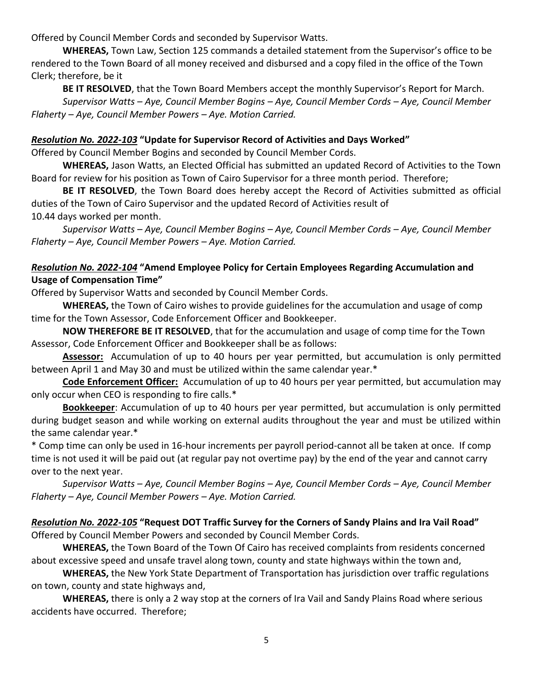Offered by Council Member Cords and seconded by Supervisor Watts.

**WHEREAS,** Town Law, Section 125 commands a detailed statement from the Supervisor's office to be rendered to the Town Board of all money received and disbursed and a copy filed in the office of the Town Clerk; therefore, be it

**BE IT RESOLVED**, that the Town Board Members accept the monthly Supervisor's Report for March.

*Supervisor Watts – Aye, Council Member Bogins – Aye, Council Member Cords – Aye, Council Member Flaherty – Aye, Council Member Powers – Aye. Motion Carried.*

### *Resolution No. 2022-103* **"Update for Supervisor Record of Activities and Days Worked"**

Offered by Council Member Bogins and seconded by Council Member Cords.

**WHEREAS,** Jason Watts, an Elected Official has submitted an updated Record of Activities to the Town Board for review for his position as Town of Cairo Supervisor for a three month period. Therefore;

**BE IT RESOLVED**, the Town Board does hereby accept the Record of Activities submitted as official duties of the Town of Cairo Supervisor and the updated Record of Activities result of 10.44 days worked per month.

*Supervisor Watts – Aye, Council Member Bogins – Aye, Council Member Cords – Aye, Council Member Flaherty – Aye, Council Member Powers – Aye. Motion Carried.*

## *Resolution No. 2022-104* **"Amend Employee Policy for Certain Employees Regarding Accumulation and Usage of Compensation Time"**

Offered by Supervisor Watts and seconded by Council Member Cords.

**WHEREAS,** the Town of Cairo wishes to provide guidelines for the accumulation and usage of comp time for the Town Assessor, Code Enforcement Officer and Bookkeeper.

**NOW THEREFORE BE IT RESOLVED**, that for the accumulation and usage of comp time for the Town Assessor, Code Enforcement Officer and Bookkeeper shall be as follows:

**Assessor:** Accumulation of up to 40 hours per year permitted, but accumulation is only permitted between April 1 and May 30 and must be utilized within the same calendar year.\*

**Code Enforcement Officer:** Accumulation of up to 40 hours per year permitted, but accumulation may only occur when CEO is responding to fire calls.\*

**Bookkeeper**: Accumulation of up to 40 hours per year permitted, but accumulation is only permitted during budget season and while working on external audits throughout the year and must be utilized within the same calendar year.\*

\* Comp time can only be used in 16-hour increments per payroll period-cannot all be taken at once. If comp time is not used it will be paid out (at regular pay not overtime pay) by the end of the year and cannot carry over to the next year.

*Supervisor Watts – Aye, Council Member Bogins – Aye, Council Member Cords – Aye, Council Member Flaherty – Aye, Council Member Powers – Aye. Motion Carried.*

# *Resolution No. 2022-105* **"Request DOT Traffic Survey for the Corners of Sandy Plains and Ira Vail Road"**

Offered by Council Member Powers and seconded by Council Member Cords.

**WHEREAS,** the Town Board of the Town Of Cairo has received complaints from residents concerned about excessive speed and unsafe travel along town, county and state highways within the town and,

**WHEREAS,** the New York State Department of Transportation has jurisdiction over traffic regulations on town, county and state highways and,

**WHEREAS,** there is only a 2 way stop at the corners of Ira Vail and Sandy Plains Road where serious accidents have occurred. Therefore;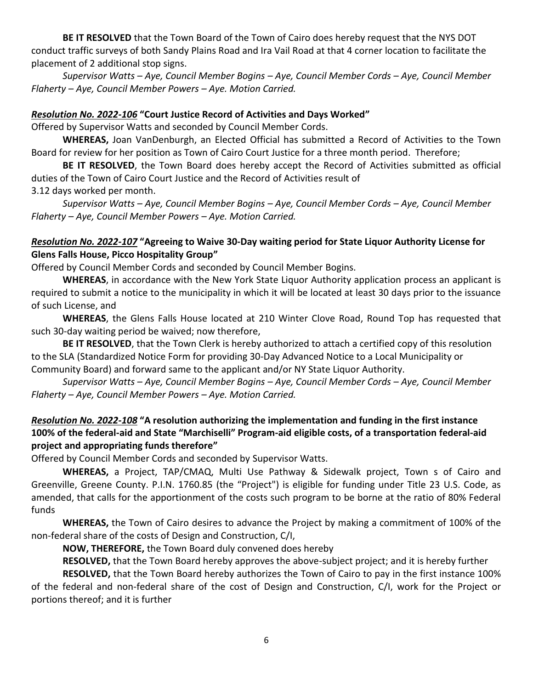**BE IT RESOLVED** that the Town Board of the Town of Cairo does hereby request that the NYS DOT conduct traffic surveys of both Sandy Plains Road and Ira Vail Road at that 4 corner location to facilitate the placement of 2 additional stop signs.

*Supervisor Watts – Aye, Council Member Bogins – Aye, Council Member Cords – Aye, Council Member Flaherty – Aye, Council Member Powers – Aye. Motion Carried.*

#### *Resolution No. 2022-106* **"Court Justice Record of Activities and Days Worked"**

Offered by Supervisor Watts and seconded by Council Member Cords.

**WHEREAS,** Joan VanDenburgh, an Elected Official has submitted a Record of Activities to the Town Board for review for her position as Town of Cairo Court Justice for a three month period. Therefore;

**BE IT RESOLVED**, the Town Board does hereby accept the Record of Activities submitted as official duties of the Town of Cairo Court Justice and the Record of Activities result of 3.12 days worked per month.

*Supervisor Watts – Aye, Council Member Bogins – Aye, Council Member Cords – Aye, Council Member Flaherty – Aye, Council Member Powers – Aye. Motion Carried.*

### *Resolution No. 2022-107* **"Agreeing to Waive 30-Day waiting period for State Liquor Authority License for Glens Falls House, Picco Hospitality Group"**

Offered by Council Member Cords and seconded by Council Member Bogins.

**WHEREAS**, in accordance with the New York State Liquor Authority application process an applicant is required to submit a notice to the municipality in which it will be located at least 30 days prior to the issuance of such License, and

**WHEREAS**, the Glens Falls House located at 210 Winter Clove Road, Round Top has requested that such 30-day waiting period be waived; now therefore,

**BE IT RESOLVED**, that the Town Clerk is hereby authorized to attach a certified copy of this resolution to the SLA (Standardized Notice Form for providing 30-Day Advanced Notice to a Local Municipality or Community Board) and forward same to the applicant and/or NY State Liquor Authority.

*Supervisor Watts – Aye, Council Member Bogins – Aye, Council Member Cords – Aye, Council Member Flaherty – Aye, Council Member Powers – Aye. Motion Carried.*

## *Resolution No. 2022-108* **"A resolution authorizing the implementation and funding in the first instance 100% of the federal-aid and State "Marchiselli" Program-aid eligible costs, of a transportation federal-aid project and appropriating funds therefore"**

Offered by Council Member Cords and seconded by Supervisor Watts.

**WHEREAS,** a Project, TAP/CMAQ, Multi Use Pathway & Sidewalk project, Town s of Cairo and Greenville, Greene County. P.I.N. 1760.85 (the "Project") is eligible for funding under Title 23 U.S. Code, as amended, that calls for the apportionment of the costs such program to be borne at the ratio of 80% Federal funds

**WHEREAS,** the Town of Cairo desires to advance the Project by making a commitment of 100% of the non-federal share of the costs of Design and Construction, C/I,

**NOW, THEREFORE,** the Town Board duly convened does hereby

**RESOLVED,** that the Town Board hereby approves the above-subject project; and it is hereby further

**RESOLVED,** that the Town Board hereby authorizes the Town of Cairo to pay in the first instance 100% of the federal and non-federal share of the cost of Design and Construction, C/I, work for the Project or portions thereof; and it is further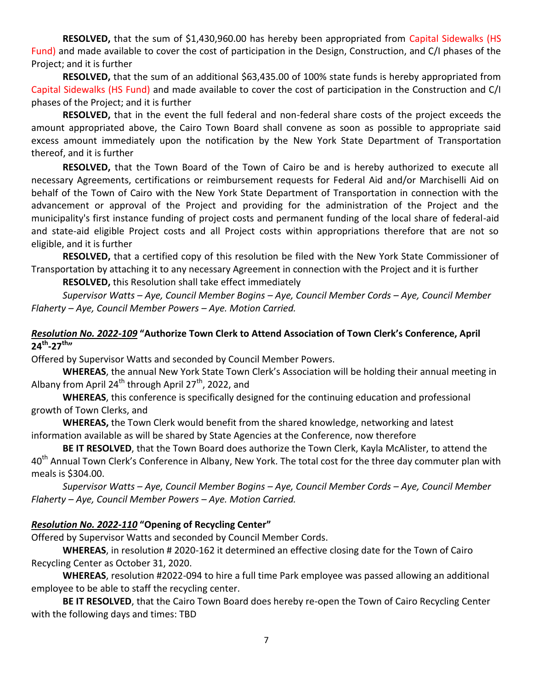**RESOLVED,** that the sum of \$1,430,960.00 has hereby been appropriated from Capital Sidewalks (HS Fund) and made available to cover the cost of participation in the Design, Construction, and C/I phases of the Project; and it is further

**RESOLVED,** that the sum of an additional \$63,435.00 of 100% state funds is hereby appropriated from Capital Sidewalks (HS Fund) and made available to cover the cost of participation in the Construction and C/I phases of the Project; and it is further

**RESOLVED,** that in the event the full federal and non-federal share costs of the project exceeds the amount appropriated above, the Cairo Town Board shall convene as soon as possible to appropriate said excess amount immediately upon the notification by the New York State Department of Transportation thereof, and it is further

**RESOLVED,** that the Town Board of the Town of Cairo be and is hereby authorized to execute all necessary Agreements, certifications or reimbursement requests for Federal Aid and/or Marchiselli Aid on behalf of the Town of Cairo with the New York State Department of Transportation in connection with the advancement or approval of the Project and providing for the administration of the Project and the municipality's first instance funding of project costs and permanent funding of the local share of federal-aid and state-aid eligible Project costs and all Project costs within appropriations therefore that are not so eligible, and it is further

**RESOLVED,** that a certified copy of this resolution be filed with the New York State Commissioner of Transportation by attaching it to any necessary Agreement in connection with the Project and it is further

**RESOLVED,** this Resolution shall take effect immediately

*Supervisor Watts – Aye, Council Member Bogins – Aye, Council Member Cords – Aye, Council Member Flaherty – Aye, Council Member Powers – Aye. Motion Carried.*

## *Resolution No. 2022-109* **"Authorize Town Clerk to Attend Association of Town Clerk's Conference, April 24th -27th"**

Offered by Supervisor Watts and seconded by Council Member Powers.

**WHEREAS**, the annual New York State Town Clerk's Association will be holding their annual meeting in Albany from April 24<sup>th</sup> through April 27<sup>th</sup>, 2022, and

**WHEREAS**, this conference is specifically designed for the continuing education and professional growth of Town Clerks, and

**WHEREAS,** the Town Clerk would benefit from the shared knowledge, networking and latest information available as will be shared by State Agencies at the Conference, now therefore

**BE IT RESOLVED**, that the Town Board does authorize the Town Clerk, Kayla McAlister, to attend the 40<sup>th</sup> Annual Town Clerk's Conference in Albany, New York. The total cost for the three day commuter plan with meals is \$304.00.

*Supervisor Watts – Aye, Council Member Bogins – Aye, Council Member Cords – Aye, Council Member Flaherty – Aye, Council Member Powers – Aye. Motion Carried.*

#### *Resolution No. 2022-110* **"Opening of Recycling Center"**

Offered by Supervisor Watts and seconded by Council Member Cords.

**WHEREAS**, in resolution # 2020-162 it determined an effective closing date for the Town of Cairo Recycling Center as October 31, 2020.

**WHEREAS**, resolution #2022-094 to hire a full time Park employee was passed allowing an additional employee to be able to staff the recycling center.

**BE IT RESOLVED**, that the Cairo Town Board does hereby re-open the Town of Cairo Recycling Center with the following days and times: TBD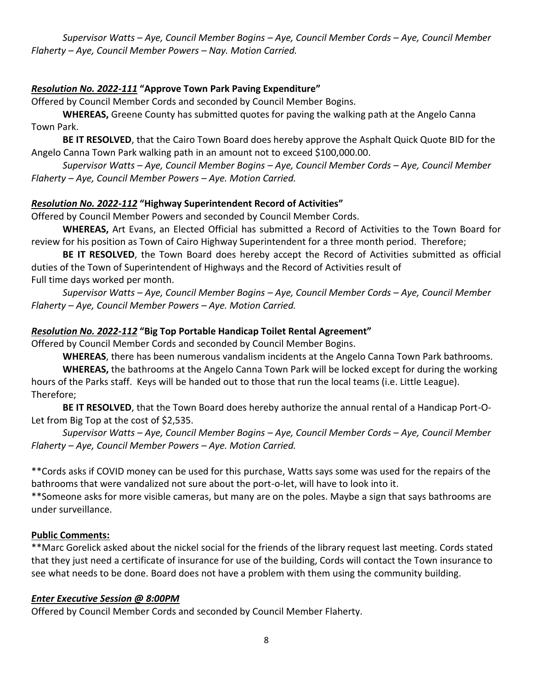*Supervisor Watts – Aye, Council Member Bogins – Aye, Council Member Cords – Aye, Council Member Flaherty – Aye, Council Member Powers – Nay. Motion Carried.*

### *Resolution No. 2022-111* **"Approve Town Park Paving Expenditure"**

Offered by Council Member Cords and seconded by Council Member Bogins.

**WHEREAS,** Greene County has submitted quotes for paving the walking path at the Angelo Canna Town Park.

**BE IT RESOLVED**, that the Cairo Town Board does hereby approve the Asphalt Quick Quote BID for the Angelo Canna Town Park walking path in an amount not to exceed \$100,000.00.

*Supervisor Watts – Aye, Council Member Bogins – Aye, Council Member Cords – Aye, Council Member Flaherty – Aye, Council Member Powers – Aye. Motion Carried.*

### *Resolution No. 2022-112* **"Highway Superintendent Record of Activities"**

Offered by Council Member Powers and seconded by Council Member Cords.

**WHEREAS,** Art Evans, an Elected Official has submitted a Record of Activities to the Town Board for review for his position as Town of Cairo Highway Superintendent for a three month period. Therefore;

**BE IT RESOLVED**, the Town Board does hereby accept the Record of Activities submitted as official duties of the Town of Superintendent of Highways and the Record of Activities result of Full time days worked per month.

*Supervisor Watts – Aye, Council Member Bogins – Aye, Council Member Cords – Aye, Council Member Flaherty – Aye, Council Member Powers – Aye. Motion Carried.*

### *Resolution No. 2022-112* **"Big Top Portable Handicap Toilet Rental Agreement"**

Offered by Council Member Cords and seconded by Council Member Bogins.

**WHEREAS**, there has been numerous vandalism incidents at the Angelo Canna Town Park bathrooms.

**WHEREAS,** the bathrooms at the Angelo Canna Town Park will be locked except for during the working hours of the Parks staff. Keys will be handed out to those that run the local teams (i.e. Little League). Therefore;

**BE IT RESOLVED**, that the Town Board does hereby authorize the annual rental of a Handicap Port-O-Let from Big Top at the cost of \$2,535.

*Supervisor Watts – Aye, Council Member Bogins – Aye, Council Member Cords – Aye, Council Member Flaherty – Aye, Council Member Powers – Aye. Motion Carried.*

\*\*Cords asks if COVID money can be used for this purchase, Watts says some was used for the repairs of the bathrooms that were vandalized not sure about the port-o-let, will have to look into it.

\*\*Someone asks for more visible cameras, but many are on the poles. Maybe a sign that says bathrooms are under surveillance.

## **Public Comments:**

\*\*Marc Gorelick asked about the nickel social for the friends of the library request last meeting. Cords stated that they just need a certificate of insurance for use of the building, Cords will contact the Town insurance to see what needs to be done. Board does not have a problem with them using the community building.

#### *Enter Executive Session @ 8:00PM*

Offered by Council Member Cords and seconded by Council Member Flaherty.